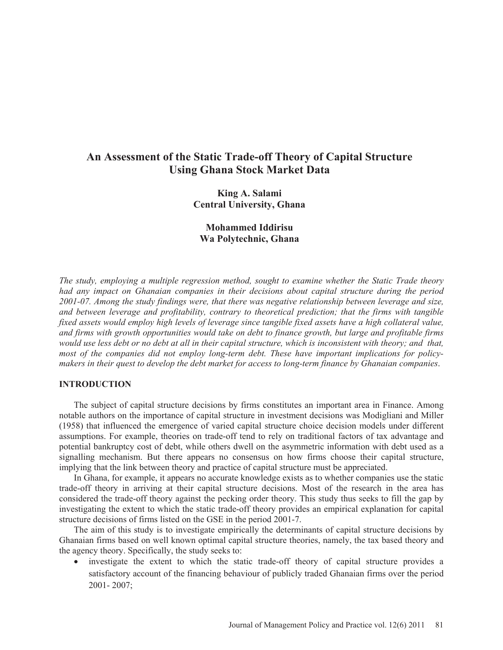## **An Assessment of the Static Trade-off Theory of Capital Structure Using Ghana Stock Market Data**

**King A. Salami Central University, Ghana** 

## **Mohammed Iddirisu Wa Polytechnic, Ghana**

*The study, employing a multiple regression method, sought to examine whether the Static Trade theory had any impact on Ghanaian companies in their decisions about capital structure during the period 2001-07. Among the study findings were, that there was negative relationship between leverage and size, and between leverage and profitability, contrary to theoretical prediction; that the firms with tangible fixed assets would employ high levels of leverage since tangible fixed assets have a high collateral value, and firms with growth opportunities would take on debt to finance growth, but large and profitable firms would use less debt or no debt at all in their capital structure, which is inconsistent with theory; and that, most of the companies did not employ long-term debt. These have important implications for policymakers in their quest to develop the debt market for access to long-term finance by Ghanaian companies*.

## **INTRODUCTION**

The subject of capital structure decisions by firms constitutes an important area in Finance. Among notable authors on the importance of capital structure in investment decisions was Modigliani and Miller (1958) that influenced the emergence of varied capital structure choice decision models under different assumptions. For example, theories on trade-off tend to rely on traditional factors of tax advantage and potential bankruptcy cost of debt, while others dwell on the asymmetric information with debt used as a signalling mechanism. But there appears no consensus on how firms choose their capital structure, implying that the link between theory and practice of capital structure must be appreciated.

In Ghana, for example, it appears no accurate knowledge exists as to whether companies use the static trade-off theory in arriving at their capital structure decisions. Most of the research in the area has considered the trade-off theory against the pecking order theory. This study thus seeks to fill the gap by investigating the extent to which the static trade-off theory provides an empirical explanation for capital structure decisions of firms listed on the GSE in the period 2001-7.

The aim of this study is to investigate empirically the determinants of capital structure decisions by Ghanaian firms based on well known optimal capital structure theories, namely, the tax based theory and the agency theory. Specifically, the study seeks to:

investigate the extent to which the static trade-off theory of capital structure provides a satisfactory account of the financing behaviour of publicly traded Ghanaian firms over the period 2001- 2007;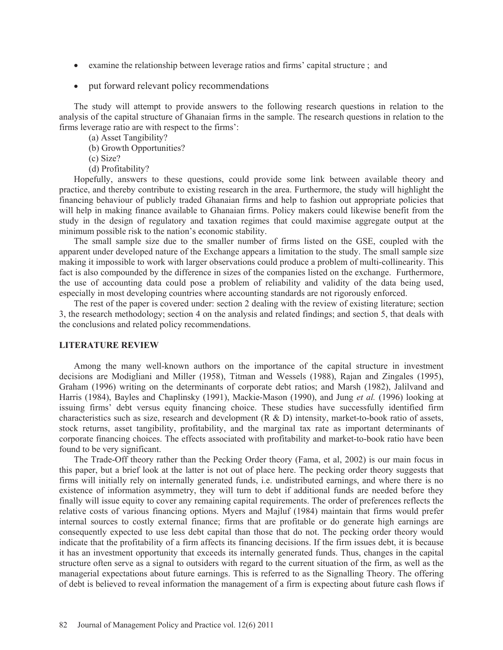- examine the relationship between leverage ratios and firms' capital structure ; and
- put forward relevant policy recommendations

The study will attempt to provide answers to the following research questions in relation to the analysis of the capital structure of Ghanaian firms in the sample. The research questions in relation to the firms leverage ratio are with respect to the firms':

(a) Asset Tangibility?

(b) Growth Opportunities?

(c) Size?

(d) Profitability?

Hopefully, answers to these questions, could provide some link between available theory and practice, and thereby contribute to existing research in the area. Furthermore, the study will highlight the financing behaviour of publicly traded Ghanaian firms and help to fashion out appropriate policies that will help in making finance available to Ghanaian firms. Policy makers could likewise benefit from the study in the design of regulatory and taxation regimes that could maximise aggregate output at the minimum possible risk to the nation's economic stability.

The small sample size due to the smaller number of firms listed on the GSE, coupled with the apparent under developed nature of the Exchange appears a limitation to the study. The small sample size making it impossible to work with larger observations could produce a problem of multi-collinearity. This fact is also compounded by the difference in sizes of the companies listed on the exchange. Furthermore, the use of accounting data could pose a problem of reliability and validity of the data being used, especially in most developing countries where accounting standards are not rigorously enforced.

The rest of the paper is covered under: section 2 dealing with the review of existing literature; section 3, the research methodology; section 4 on the analysis and related findings; and section 5, that deals with the conclusions and related policy recommendations.

### **LITERATURE REVIEW**

Among the many well-known authors on the importance of the capital structure in investment decisions are Modigliani and Miller (1958), Titman and Wessels (1988), Rajan and Zingales (1995), Graham (1996) writing on the determinants of corporate debt ratios; and Marsh (1982), Jalilvand and Harris (1984), Bayles and Chaplinsky (1991), Mackie-Mason (1990), and Jung *et al.* (1996) looking at issuing firms' debt versus equity financing choice. These studies have successfully identified firm characteristics such as size, research and development (R & D) intensity, market-to-book ratio of assets, stock returns, asset tangibility, profitability, and the marginal tax rate as important determinants of corporate financing choices. The effects associated with profitability and market-to-book ratio have been found to be very significant.

The Trade-Off theory rather than the Pecking Order theory (Fama, et al, 2002) is our main focus in this paper, but a brief look at the latter is not out of place here. The pecking order theory suggests that firms will initially rely on internally generated funds, i.e. undistributed earnings, and where there is no existence of information asymmetry, they will turn to debt if additional funds are needed before they finally will issue equity to cover any remaining capital requirements. The order of preferences reflects the relative costs of various financing options. Myers and Majluf (1984) maintain that firms would prefer internal sources to costly external finance; firms that are profitable or do generate high earnings are consequently expected to use less debt capital than those that do not. The pecking order theory would indicate that the profitability of a firm affects its financing decisions. If the firm issues debt, it is because it has an investment opportunity that exceeds its internally generated funds. Thus, changes in the capital structure often serve as a signal to outsiders with regard to the current situation of the firm, as well as the managerial expectations about future earnings. This is referred to as the Signalling Theory. The offering of debt is believed to reveal information the management of a firm is expecting about future cash flows if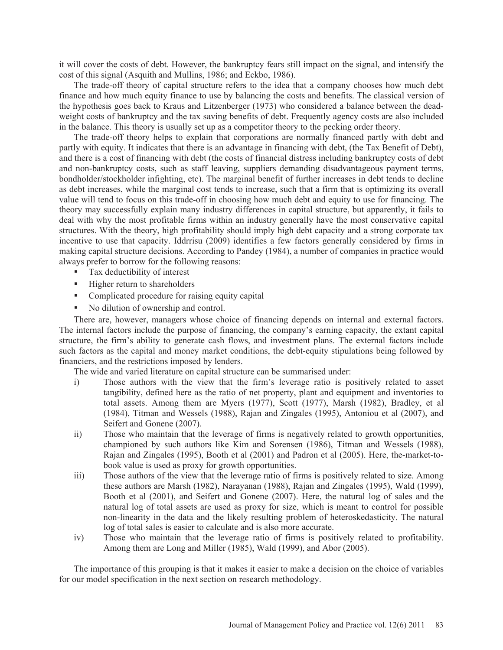it will cover the costs of debt. However, the bankruptcy fears still impact on the signal, and intensify the cost of this signal (Asquith and Mullins, 1986; and Eckbo, 1986).

The trade-off theory of capital structure refers to the idea that a company chooses how much debt finance and how much equity finance to use by balancing the costs and benefits. The classical version of the hypothesis goes back to Kraus and Litzenberger (1973) who considered a balance between the deadweight costs of bankruptcy and the tax saving benefits of debt. Frequently agency costs are also included in the balance. This theory is usually set up as a competitor theory to the pecking order theory.

The trade-off theory helps to explain that corporations are normally financed partly with debt and partly with equity. It indicates that there is an advantage in financing with debt, (the Tax Benefit of Debt), and there is a cost of financing with debt (the costs of financial distress including bankruptcy costs of debt and non-bankruptcy costs, such as staff leaving, suppliers demanding disadvantageous payment terms, bondholder/stockholder infighting, etc). The marginal benefit of further increases in debt tends to decline as debt increases, while the marginal cost tends to increase, such that a firm that is optimizing its overall value will tend to focus on this trade-off in choosing how much debt and equity to use for financing. The theory may successfully explain many industry differences in capital structure, but apparently, it fails to deal with why the most profitable firms within an industry generally have the most conservative capital structures. With the theory, high profitability should imply high debt capacity and a strong corporate tax incentive to use that capacity. Iddrrisu (2009) identifies a few factors generally considered by firms in making capital structure decisions. According to Pandey (1984), a number of companies in practice would always prefer to borrow for the following reasons:

- Tax deductibility of interest
- Higher return to shareholders
- Complicated procedure for raising equity capital
- No dilution of ownership and control.

There are, however, managers whose choice of financing depends on internal and external factors. The internal factors include the purpose of financing, the company's earning capacity, the extant capital structure, the firm's ability to generate cash flows, and investment plans. The external factors include such factors as the capital and money market conditions, the debt-equity stipulations being followed by financiers, and the restrictions imposed by lenders.

The wide and varied literature on capital structure can be summarised under:

- i) Those authors with the view that the firm's leverage ratio is positively related to asset tangibility, defined here as the ratio of net property, plant and equipment and inventories to total assets. Among them are Myers (1977), Scott (1977), Marsh (1982), Bradley, et al (1984), Titman and Wessels (1988), Rajan and Zingales (1995), Antoniou et al (2007), and Seifert and Gonene (2007).
- ii) Those who maintain that the leverage of firms is negatively related to growth opportunities, championed by such authors like Kim and Sorensen (1986), Titman and Wessels (1988), Rajan and Zingales (1995), Booth et al (2001) and Padron et al (2005). Here, the-market-tobook value is used as proxy for growth opportunities.
- iii) Those authors of the view that the leverage ratio of firms is positively related to size. Among these authors are Marsh (1982), Narayanan (1988), Rajan and Zingales (1995), Wald (1999), Booth et al (2001), and Seifert and Gonene (2007). Here, the natural log of sales and the natural log of total assets are used as proxy for size, which is meant to control for possible non-linearity in the data and the likely resulting problem of heteroskedasticity. The natural log of total sales is easier to calculate and is also more accurate.
- iv) Those who maintain that the leverage ratio of firms is positively related to profitability. Among them are Long and Miller (1985), Wald (1999), and Abor (2005).

The importance of this grouping is that it makes it easier to make a decision on the choice of variables for our model specification in the next section on research methodology.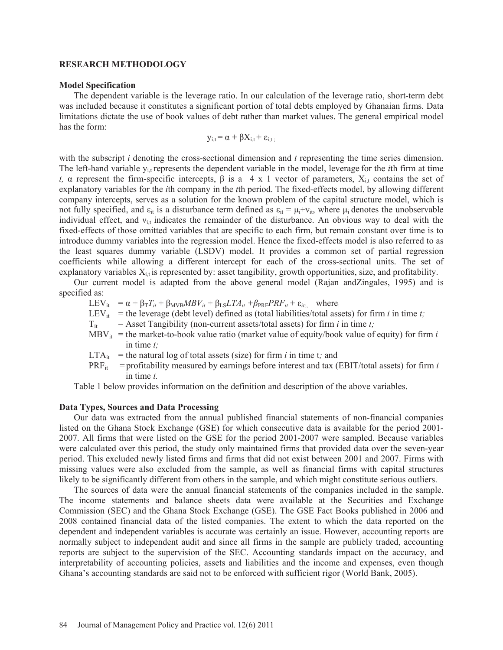### **RESEARCH METHODOLOGY**

### **Model Specification**

The dependent variable is the leverage ratio. In our calculation of the leverage ratio, short-term debt was included because it constitutes a significant portion of total debts employed by Ghanaian firms. Data limitations dictate the use of book values of debt rather than market values. The general empirical model has the form:

$$
y_{i,t} = \alpha + \beta X_{i,t} + \epsilon_{i,t}
$$

with the subscript *i* denoting the cross-sectional dimension and *t* representing the time series dimension. The left-hand variable y<sub>it</sub> represents the dependent variable in the model, leverage for the *i*th firm at time *t*,  $\alpha$  represent the firm-specific intercepts,  $\beta$  is a 4 x 1 vector of parameters,  $X_{i,t}$  contains the set of explanatory variables for the *i*th company in the *t*th period. The fixed-effects model, by allowing different company intercepts, serves as a solution for the known problem of the capital structure model, which is not fully specified, and  $\varepsilon_{it}$  is a disturbance term defined as  $\varepsilon_{it} = \mu_i + v_{it}$ , where  $\mu_i$  denotes the unobservable individual effect, and  $v_{i,t}$  indicates the remainder of the disturbance. An obvious way to deal with the fixed-effects of those omitted variables that are specific to each firm, but remain constant over time is to introduce dummy variables into the regression model. Hence the fixed-effects model is also referred to as the least squares dummy variable (LSDV) model. It provides a common set of partial regression coefficients while allowing a different intercept for each of the cross-sectional units. The set of explanatory variables  $X_{i,t}$  is represented by: asset tangibility, growth opportunities, size, and profitability.

Our current model is adapted from the above general model (Rajan andZingales, 1995) and is specified as:

 $LEV_{it} = \alpha + \beta_T T_{it} + \beta_{MVB} MBV_{it} + \beta_{LS} LTA_{it} + \beta_{PRF} PRF_{it} + \varepsilon_{it;}$  where:

LEV<sub>it</sub> = the leverage (debt level) defined as (total liabilities/total assets) for firm *i* in time *t*;

- $T_{it}$  = Asset Tangibility (non-current assets/total assets) for firm *i* in time *t*;
- $MBV_{it}$  = the market-to-book value ratio (market value of equity/book value of equity) for firm *i* in time *t;*
- $LTA_{it}$  = the natural log of total assets (size) for firm *i* in time *t*; and
- $PRF_{it}$  = profitability measured by earnings before interest and tax (EBIT/total assets) for firm *i* in time *t.*

Table 1 below provides information on the definition and description of the above variables.

### **Data Types, Sources and Data Processing**

Our data was extracted from the annual published financial statements of non-financial companies listed on the Ghana Stock Exchange (GSE) for which consecutive data is available for the period 2001- 2007. All firms that were listed on the GSE for the period 2001-2007 were sampled. Because variables were calculated over this period, the study only maintained firms that provided data over the seven-year period. This excluded newly listed firms and firms that did not exist between 2001 and 2007. Firms with missing values were also excluded from the sample, as well as financial firms with capital structures likely to be significantly different from others in the sample, and which might constitute serious outliers.

The sources of data were the annual financial statements of the companies included in the sample. The income statements and balance sheets data were available at the Securities and Exchange Commission (SEC) and the Ghana Stock Exchange (GSE). The GSE Fact Books published in 2006 and 2008 contained financial data of the listed companies. The extent to which the data reported on the dependent and independent variables is accurate was certainly an issue. However, accounting reports are normally subject to independent audit and since all firms in the sample are publicly traded, accounting reports are subject to the supervision of the SEC. Accounting standards impact on the accuracy, and interpretability of accounting policies, assets and liabilities and the income and expenses, even though Ghana's accounting standards are said not to be enforced with sufficient rigor (World Bank, 2005).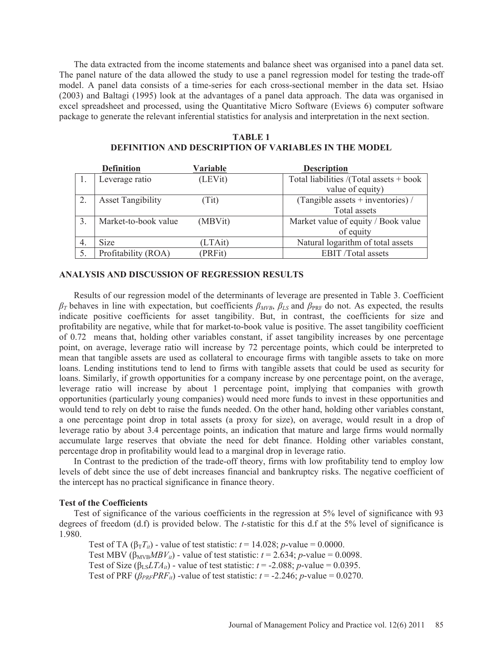The data extracted from the income statements and balance sheet was organised into a panel data set. The panel nature of the data allowed the study to use a panel regression model for testing the trade-off model. A panel data consists of a time-series for each cross-sectional member in the data set. Hsiao (2003) and Baltagi (1995) look at the advantages of a panel data approach. The data was organised in excel spreadsheet and processed, using the Quantitative Micro Software (Eviews 6) computer software package to generate the relevant inferential statistics for analysis and interpretation in the next section.

### **TABLE 1**

# **DEFINITION AND DESCRIPTION OF VARIABLES IN THE MODEL Definition Variable Description**

|    | Definition               | Variable | <b>Description</b>                        |
|----|--------------------------|----------|-------------------------------------------|
|    | Leverage ratio           | (LEVit)  | Total liabilities /(Total assets $+$ book |
|    |                          |          | value of equity)                          |
|    | <b>Asset Tangibility</b> | (Tit)    | (Tangible assets $+$ inventories) /       |
|    |                          |          | Total assets                              |
| 3. | Market-to-book value     | (MBVit)  | Market value of equity / Book value       |
|    |                          |          | of equity                                 |
| 4. | <b>Size</b>              | (LTAit)  | Natural logarithm of total assets         |
| 5. | Profitability (ROA)      | (PRFit)  | <b>EBIT</b> /Total assets                 |

### **ANALYSIS AND DISCUSSION OF REGRESSION RESULTS**

Results of our regression model of the determinants of leverage are presented in Table 3. Coefficient  $\beta_T$  behaves in line with expectation, but coefficients  $\beta_{MVB}$ ,  $\beta_{LS}$  and  $\beta_{\text{PRF}}$  do not. As expected, the results indicate positive coefficients for asset tangibility. But, in contrast, the coefficients for size and profitability are negative, while that for market-to-book value is positive. The asset tangibility coefficient of 0.72 means that, holding other variables constant, if asset tangibility increases by one percentage point, on average, leverage ratio will increase by 72 percentage points, which could be interpreted to mean that tangible assets are used as collateral to encourage firms with tangible assets to take on more loans. Lending institutions tend to lend to firms with tangible assets that could be used as security for loans. Similarly, if growth opportunities for a company increase by one percentage point, on the average, leverage ratio will increase by about 1 percentage point, implying that companies with growth opportunities (particularly young companies) would need more funds to invest in these opportunities and would tend to rely on debt to raise the funds needed. On the other hand, holding other variables constant, a one percentage point drop in total assets (a proxy for size), on average, would result in a drop of leverage ratio by about 3.4 percentage points, an indication that mature and large firms would normally accumulate large reserves that obviate the need for debt finance. Holding other variables constant, percentage drop in profitability would lead to a marginal drop in leverage ratio.

In Contrast to the prediction of the trade-off theory, firms with low profitability tend to employ low levels of debt since the use of debt increases financial and bankruptcy risks. The negative coefficient of the intercept has no practical significance in finance theory.

### **Test of the Coefficients**

Test of significance of the various coefficients in the regression at 5% level of significance with 93 degrees of freedom (d.f) is provided below. The *t-*statistic for this d.f at the 5% level of significance is 1.980.

Test of TA  $(\beta_T T_{it})$  - value of test statistic:  $t = 14.028$ ; *p*-value = 0.0000. Test MBV ( $\beta_{MVB}MBV_{ii}$ ) - value of test statistic:  $t = 2.634$ ; *p*-value = 0.0098. Test of Size ( $\beta_{LS}LTA_{it}$ ) - value of test statistic:  $t = -2.088$ ; *p*-value = 0.0395. Test of PRF  $(\beta_{PRF}PRF_{ii})$  -value of test statistic:  $t = -2.246$ ; *p*-value = 0.0270.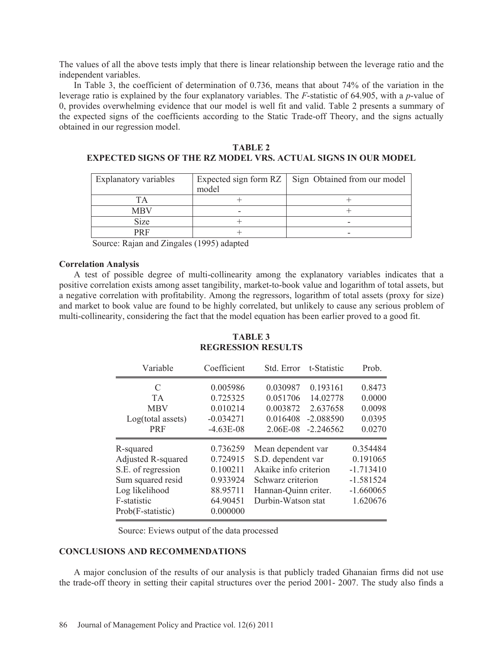The values of all the above tests imply that there is linear relationship between the leverage ratio and the independent variables.

In Table 3, the coefficient of determination of 0.736, means that about 74% of the variation in the leverage ratio is explained by the four explanatory variables. The *F*-statistic of 64.905, with a *p*-value of 0, provides overwhelming evidence that our model is well fit and valid. Table 2 presents a summary of the expected signs of the coefficients according to the Static Trade-off Theory, and the signs actually obtained in our regression model.

**TABLE 2 EXPECTED SIGNS OF THE RZ MODEL VRS. ACTUAL SIGNS IN OUR MODEL** 

| Explanatory variables | model | Expected sign form RZ   Sign Obtained from our model |
|-----------------------|-------|------------------------------------------------------|
|                       |       |                                                      |
| <b>MBV</b>            | -     |                                                      |
| <b>Size</b>           |       |                                                      |
| <b>DR F</b>           |       |                                                      |

Source: Rajan and Zingales (1995) adapted

### **Correlation Analysis**

A test of possible degree of multi-collinearity among the explanatory variables indicates that a positive correlation exists among asset tangibility, market-to-book value and logarithm of total assets, but a negative correlation with profitability. Among the regressors, logarithm of total assets (proxy for size) and market to book value are found to be highly correlated, but unlikely to cause any serious problem of multi-collinearity, considering the fact that the model equation has been earlier proved to a good fit.

## **TABLE 3 REGRESSION RESULTS**

| Variable                                                                                                                                | Coefficient                                                                      | Std. Error                                                                                                                           | t-Statistic                                                    | Prob.                                                                         |
|-----------------------------------------------------------------------------------------------------------------------------------------|----------------------------------------------------------------------------------|--------------------------------------------------------------------------------------------------------------------------------------|----------------------------------------------------------------|-------------------------------------------------------------------------------|
| C<br><b>TA</b><br><b>MBV</b><br>Log(total assets)<br><b>PRF</b>                                                                         | 0.005986<br>0.725325<br>0.010214<br>$-0.034271$<br>$-4.63E-08$                   | 0.030987<br>0.051706<br>0.003872<br>0.016408<br>2.06E-08                                                                             | 0.193161<br>14.02778<br>2.637658<br>$-2.088590$<br>$-2.246562$ | 0.8473<br>0.0000<br>0.0098<br>0.0395<br>0.0270                                |
| R-squared<br><b>Adjusted R-squared</b><br>S.E. of regression<br>Sum squared resid<br>Log likelihood<br>F-statistic<br>Prob(F-statistic) | 0.736259<br>0.724915<br>0.100211<br>0.933924<br>88.95711<br>64.90451<br>0.000000 | Mean dependent var<br>S.D. dependent var<br>Akaike info criterion<br>Schwarz criterion<br>Hannan-Quinn criter.<br>Durbin-Watson stat |                                                                | 0.354484<br>0.191065<br>$-1.713410$<br>$-1.581524$<br>$-1.660065$<br>1.620676 |

Source: Eviews output of the data processed

## **CONCLUSIONS AND RECOMMENDATIONS**

A major conclusion of the results of our analysis is that publicly traded Ghanaian firms did not use the trade-off theory in setting their capital structures over the period 2001- 2007. The study also finds a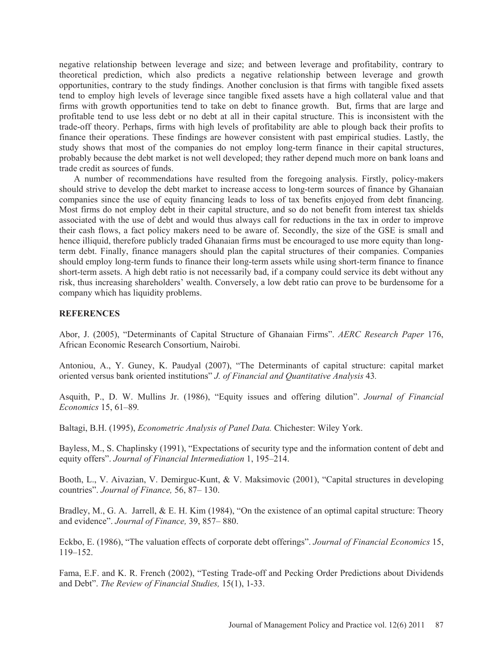negative relationship between leverage and size; and between leverage and profitability, contrary to theoretical prediction, which also predicts a negative relationship between leverage and growth opportunities, contrary to the study findings. Another conclusion is that firms with tangible fixed assets tend to employ high levels of leverage since tangible fixed assets have a high collateral value and that firms with growth opportunities tend to take on debt to finance growth. But, firms that are large and profitable tend to use less debt or no debt at all in their capital structure. This is inconsistent with the trade-off theory. Perhaps, firms with high levels of profitability are able to plough back their profits to finance their operations. These findings are however consistent with past empirical studies. Lastly, the study shows that most of the companies do not employ long-term finance in their capital structures, probably because the debt market is not well developed; they rather depend much more on bank loans and trade credit as sources of funds.

A number of recommendations have resulted from the foregoing analysis. Firstly, policy-makers should strive to develop the debt market to increase access to long-term sources of finance by Ghanaian companies since the use of equity financing leads to loss of tax benefits enjoyed from debt financing. Most firms do not employ debt in their capital structure, and so do not benefit from interest tax shields associated with the use of debt and would thus always call for reductions in the tax in order to improve their cash flows, a fact policy makers need to be aware of. Secondly, the size of the GSE is small and hence illiquid, therefore publicly traded Ghanaian firms must be encouraged to use more equity than longterm debt. Finally, finance managers should plan the capital structures of their companies. Companies should employ long-term funds to finance their long-term assets while using short-term finance to finance short-term assets. A high debt ratio is not necessarily bad, if a company could service its debt without any risk, thus increasing shareholders' wealth. Conversely, a low debt ratio can prove to be burdensome for a company which has liquidity problems.

### **REFERENCES**

Abor, J. (2005), "Determinants of Capital Structure of Ghanaian Firms". *AERC Research Paper* 176, African Economic Research Consortium, Nairobi.

Antoniou, A., Y. Guney, K. Paudyal (2007), "The Determinants of capital structure: capital market oriented versus bank oriented institutions" *J. of Financial and Quantitative Analysis* 43*.* 

Asquith, P., D. W. Mullins Jr. (1986), "Equity issues and offering dilution". *Journal of Financial Economics* 15, 61–89*.* 

Baltagi, B.H. (1995), *Econometric Analysis of Panel Data.* Chichester: Wiley York.

Bayless, M., S. Chaplinsky (1991), "Expectations of security type and the information content of debt and equity offers". *Journal of Financial Intermediation* 1, 195–214.

Booth, L., V. Aivazian, V. Demirguc-Kunt, & V. Maksimovic (2001), "Capital structures in developing countries". *Journal of Finance,* 56, 87– 130.

Bradley, M., G. A. Jarrell, & E. H. Kim (1984), "On the existence of an optimal capital structure: Theory and evidence". *Journal of Finance,* 39, 857– 880.

Eckbo, E. (1986), "The valuation effects of corporate debt offerings". *Journal of Financial Economics* 15, 119–152.

Fama, E.F. and K. R. French (2002), "Testing Trade-off and Pecking Order Predictions about Dividends and Debt". *The Review of Financial Studies,* 15(1), 1-33.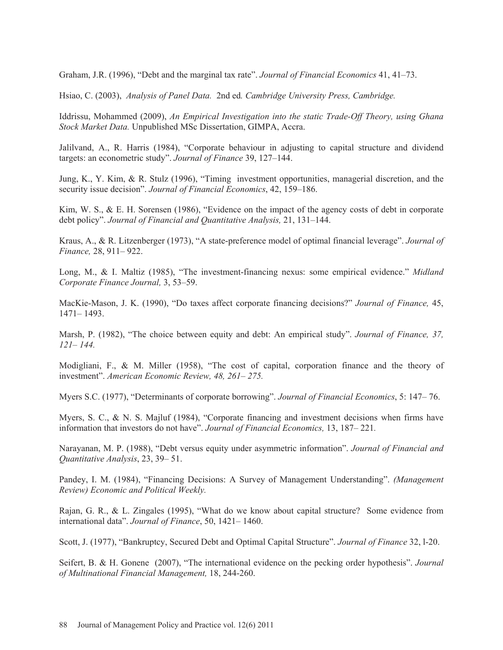Graham, J.R. (1996), "Debt and the marginal tax rate". *Journal of Financial Economics* 41, 41–73.

Hsiao, C. (2003), *Analysis of Panel Data.* 2nd ed*. Cambridge University Press, Cambridge.* 

Iddrissu, Mohammed (2009), *An Empirical Investigation into the static Trade-Off Theory, using Ghana Stock Market Data.* Unpublished MSc Dissertation, GIMPA, Accra.

Jalilvand, A., R. Harris (1984), "Corporate behaviour in adjusting to capital structure and dividend targets: an econometric study". *Journal of Finance* 39, 127–144.

Jung, K., Y. Kim, & R. Stulz (1996), "Timing investment opportunities, managerial discretion, and the security issue decision". *Journal of Financial Economics*, 42, 159–186.

Kim, W. S., & E. H. Sorensen (1986), "Evidence on the impact of the agency costs of debt in corporate debt policy". *Journal of Financial and Quantitative Analysis,* 21, 131–144.

Kraus, A., & R. Litzenberger (1973), "A state-preference model of optimal financial leverage". *Journal of Finance,* 28, 911– 922.

Long, M., & I. Maltiz (1985), "The investment-financing nexus: some empirical evidence." *Midland Corporate Finance Journal,* 3, 53–59.

MacKie-Mason, J. K. (1990), "Do taxes affect corporate financing decisions?" *Journal of Finance,* 45, 1471– 1493.

Marsh, P. (1982), "The choice between equity and debt: An empirical study". *Journal of Finance, 37, 121– 144.* 

Modigliani, F., & M. Miller (1958), "The cost of capital, corporation finance and the theory of investment". *American Economic Review, 48, 261– 275.* 

Myers S.C. (1977), "Determinants of corporate borrowing". *Journal of Financial Economics*, 5: 147– 76.

Myers, S. C., & N. S. Majluf (1984), "Corporate financing and investment decisions when firms have information that investors do not have". *Journal of Financial Economics,* 13, 187– 221*.* 

Narayanan, M. P. (1988), "Debt versus equity under asymmetric information". *Journal of Financial and Quantitative Analysis*, 23, 39– 51.

Pandey, I. M. (1984), "Financing Decisions: A Survey of Management Understanding". *(Management Review) Economic and Political Weekly.* 

Rajan, G. R., & L. Zingales (1995), "What do we know about capital structure? Some evidence from international data". *Journal of Finance*, 50, 1421– 1460.

Scott, J. (1977), "Bankruptcy, Secured Debt and Optimal Capital Structure". *Journal of Finance* 32, l-20.

Seifert, B. & H. Gonene (2007), "The international evidence on the pecking order hypothesis". *Journal of Multinational Financial Management,* 18, 244-260.